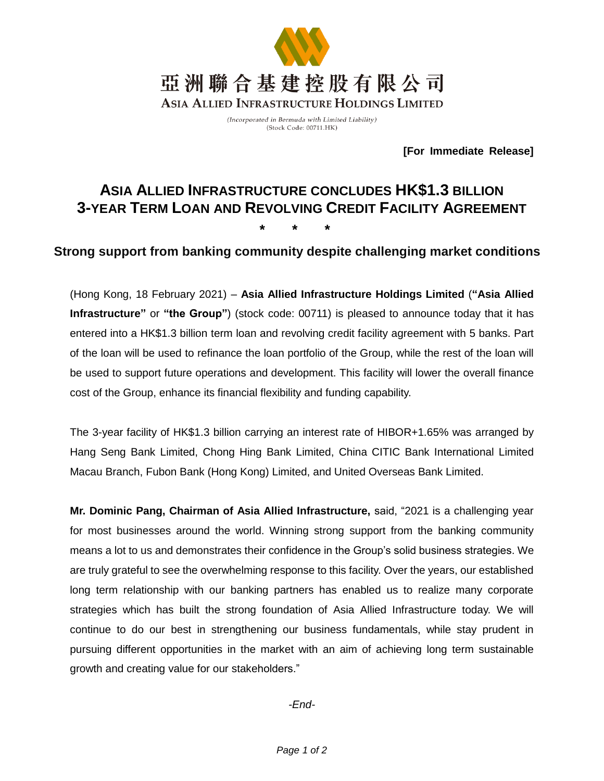

(Incorporated in Bermuda with Limited Liability) (Stock Code: 00711.HK)

**[For Immediate Release]**

# **ASIA ALLIED INFRASTRUCTURE CONCLUDES HK\$1.3 BILLION 3-YEAR TERM LOAN AND REVOLVING CREDIT FACILITY AGREEMENT \* \* \***

## **Strong support from banking community despite challenging market conditions**

(Hong Kong, 18 February 2021) – **Asia Allied Infrastructure Holdings Limited** (**"Asia Allied Infrastructure"** or **"the Group"**) (stock code: 00711) is pleased to announce today that it has entered into a HK\$1.3 billion term loan and revolving credit facility agreement with 5 banks. Part of the loan will be used to refinance the loan portfolio of the Group, while the rest of the loan will be used to support future operations and development. This facility will lower the overall finance cost of the Group, enhance its financial flexibility and funding capability.

The 3-year facility of HK\$1.3 billion carrying an interest rate of HIBOR+1.65% was arranged by Hang Seng Bank Limited, Chong Hing Bank Limited, China CITIC Bank International Limited Macau Branch, Fubon Bank (Hong Kong) Limited, and United Overseas Bank Limited.

**Mr. Dominic Pang, Chairman of Asia Allied Infrastructure,** said, "2021 is a challenging year for most businesses around the world. Winning strong support from the banking community means a lot to us and demonstrates their confidence in the Group's solid business strategies. We are truly grateful to see the overwhelming response to this facility. Over the years, our established long term relationship with our banking partners has enabled us to realize many corporate strategies which has built the strong foundation of Asia Allied Infrastructure today. We will continue to do our best in strengthening our business fundamentals, while stay prudent in pursuing different opportunities in the market with an aim of achieving long term sustainable growth and creating value for our stakeholders."

*-End-*